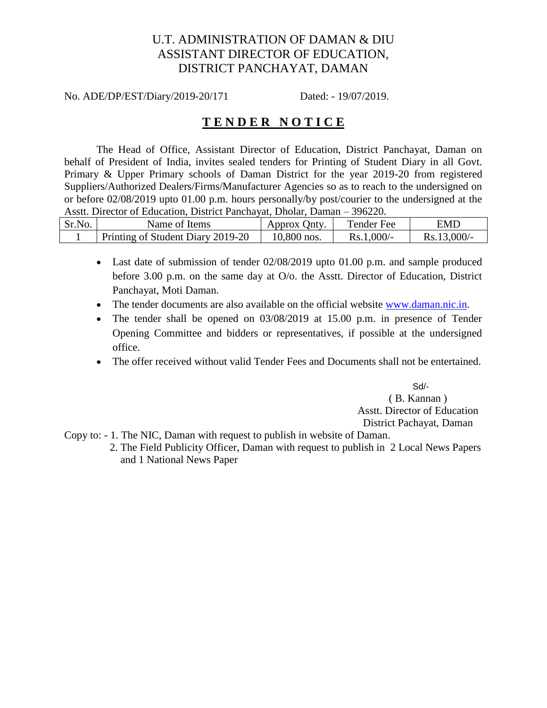# U.T. ADMINISTRATION OF DAMAN & DIU ASSISTANT DIRECTOR OF EDUCATION, DISTRICT PANCHAYAT, DAMAN

No. ADE/DP/EST/Diary/2019-20/171 Dated: - 19/07/2019.

# **T E N D E R N O T I C E**

The Head of Office, Assistant Director of Education, District Panchayat, Daman on behalf of President of India, invites sealed tenders for Printing of Student Diary in all Govt. Primary & Upper Primary schools of Daman District for the year 2019-20 from registered Suppliers/Authorized Dealers/Firms/Manufacturer Agencies so as to reach to the undersigned on or before 02/08/2019 upto 01.00 p.m. hours personally/by post/courier to the undersigned at the Asstt. Director of Education, District Panchayat, Dholar, Daman – 396220.

| Sr.No. | Name of Items                     | Approx Onty.  | Tender Fee   | EMD           |
|--------|-----------------------------------|---------------|--------------|---------------|
|        |                                   |               |              |               |
|        | Printing of Student Diary 2019-20 | $10,800$ nos. | $Rs.1,000/-$ | $Rs.13,000/-$ |

- Last date of submission of tender 02/08/2019 upto 01.00 p.m. and sample produced before 3.00 p.m. on the same day at O/o. the Asstt. Director of Education, District Panchayat, Moti Daman.
- The tender documents are also available on the official website [www.daman.nic.in.](http://www.daman.nic.in/)
- The tender shall be opened on 03/08/2019 at 15.00 p.m. in presence of Tender Opening Committee and bidders or representatives, if possible at the undersigned office.
- The offer received without valid Tender Fees and Documents shall not be entertained.

 Sd/- ( B. Kannan ) Asstt. Director of Education District Pachayat, Daman

Copy to: - 1. The NIC, Daman with request to publish in website of Daman.

 2. The Field Publicity Officer, Daman with request to publish in 2 Local News Papers and 1 National News Paper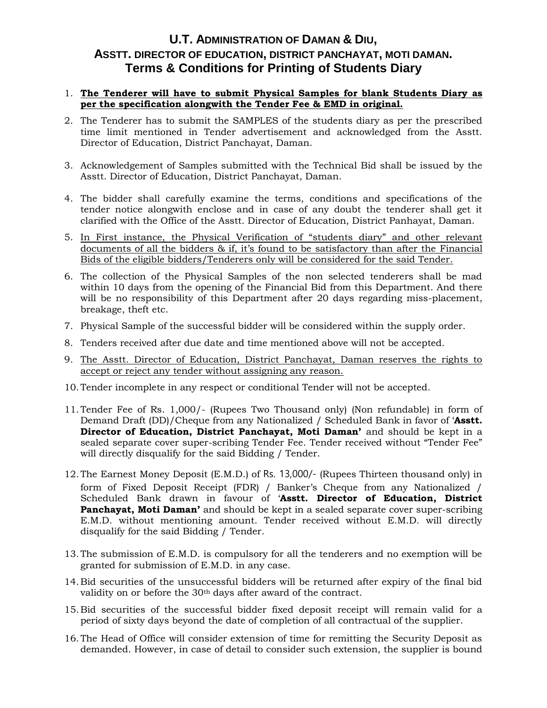## **U.T. ADMINISTRATION OF DAMAN & DIU, ASSTT. DIRECTOR OF EDUCATION, DISTRICT PANCHAYAT, MOTI DAMAN. Terms & Conditions for Printing of Students Diary**

#### 1. **The Tenderer will have to submit Physical Samples for blank Students Diary as per the specification alongwith the Tender Fee & EMD in original.**

- 2. The Tenderer has to submit the SAMPLES of the students diary as per the prescribed time limit mentioned in Tender advertisement and acknowledged from the Asstt. Director of Education, District Panchayat, Daman.
- 3. Acknowledgement of Samples submitted with the Technical Bid shall be issued by the Asstt. Director of Education, District Panchayat, Daman.
- 4. The bidder shall carefully examine the terms, conditions and specifications of the tender notice alongwith enclose and in case of any doubt the tenderer shall get it clarified with the Office of the Asstt. Director of Education, District Panhayat, Daman.
- 5. In First instance, the Physical Verification of "students diary" and other relevant documents of all the bidders & if, it's found to be satisfactory than after the Financial Bids of the eligible bidders/Tenderers only will be considered for the said Tender.
- 6. The collection of the Physical Samples of the non selected tenderers shall be mad within 10 days from the opening of the Financial Bid from this Department. And there will be no responsibility of this Department after 20 days regarding miss-placement, breakage, theft etc.
- 7. Physical Sample of the successful bidder will be considered within the supply order.
- 8. Tenders received after due date and time mentioned above will not be accepted.
- 9. The Asstt. Director of Education, District Panchayat, Daman reserves the rights to accept or reject any tender without assigning any reason.
- 10.Tender incomplete in any respect or conditional Tender will not be accepted.
- 11.Tender Fee of Rs. 1,000/- (Rupees Two Thousand only) (Non refundable) in form of Demand Draft (DD)/Cheque from any Nationalized / Scheduled Bank in favor of '**Asstt. Director of Education, District Panchayat, Moti Daman'** and should be kept in a sealed separate cover super-scribing Tender Fee. Tender received without "Tender Fee" will directly disqualify for the said Bidding / Tender.
- 12.The Earnest Money Deposit (E.M.D.) of Rs. 13,000/- (Rupees Thirteen thousand only) in form of Fixed Deposit Receipt (FDR) / Banker's Cheque from any Nationalized / Scheduled Bank drawn in favour of '**Asstt. Director of Education, District Panchayat, Moti Daman'** and should be kept in a sealed separate cover super-scribing E.M.D. without mentioning amount. Tender received without E.M.D. will directly disqualify for the said Bidding / Tender.
- 13.The submission of E.M.D. is compulsory for all the tenderers and no exemption will be granted for submission of E.M.D. in any case.
- 14.Bid securities of the unsuccessful bidders will be returned after expiry of the final bid validity on or before the 30<sup>th</sup> days after award of the contract.
- 15.Bid securities of the successful bidder fixed deposit receipt will remain valid for a period of sixty days beyond the date of completion of all contractual of the supplier.
- 16.The Head of Office will consider extension of time for remitting the Security Deposit as demanded. However, in case of detail to consider such extension, the supplier is bound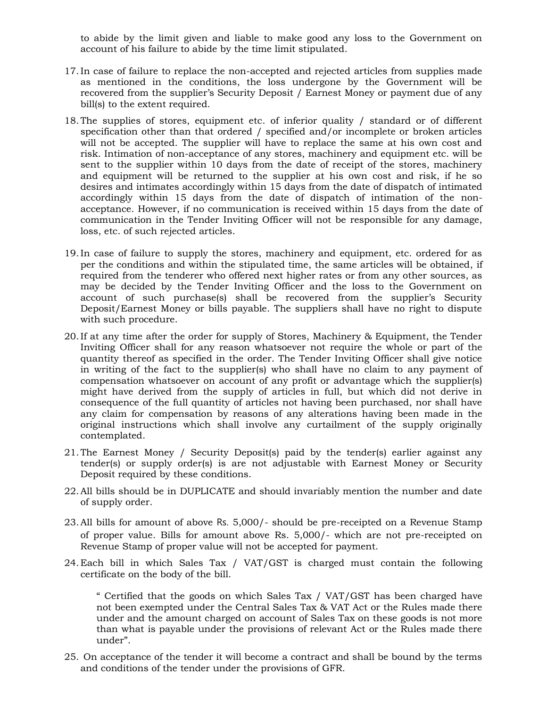to abide by the limit given and liable to make good any loss to the Government on account of his failure to abide by the time limit stipulated.

- 17.In case of failure to replace the non-accepted and rejected articles from supplies made as mentioned in the conditions, the loss undergone by the Government will be recovered from the supplier's Security Deposit / Earnest Money or payment due of any bill(s) to the extent required.
- 18.The supplies of stores, equipment etc. of inferior quality / standard or of different specification other than that ordered / specified and/or incomplete or broken articles will not be accepted. The supplier will have to replace the same at his own cost and risk. Intimation of non-acceptance of any stores, machinery and equipment etc. will be sent to the supplier within 10 days from the date of receipt of the stores, machinery and equipment will be returned to the supplier at his own cost and risk, if he so desires and intimates accordingly within 15 days from the date of dispatch of intimated accordingly within 15 days from the date of dispatch of intimation of the nonacceptance. However, if no communication is received within 15 days from the date of communication in the Tender Inviting Officer will not be responsible for any damage, loss, etc. of such rejected articles.
- 19.In case of failure to supply the stores, machinery and equipment, etc. ordered for as per the conditions and within the stipulated time, the same articles will be obtained, if required from the tenderer who offered next higher rates or from any other sources, as may be decided by the Tender Inviting Officer and the loss to the Government on account of such purchase(s) shall be recovered from the supplier's Security Deposit/Earnest Money or bills payable. The suppliers shall have no right to dispute with such procedure.
- 20.If at any time after the order for supply of Stores, Machinery & Equipment, the Tender Inviting Officer shall for any reason whatsoever not require the whole or part of the quantity thereof as specified in the order. The Tender Inviting Officer shall give notice in writing of the fact to the supplier(s) who shall have no claim to any payment of compensation whatsoever on account of any profit or advantage which the supplier(s) might have derived from the supply of articles in full, but which did not derive in consequence of the full quantity of articles not having been purchased, nor shall have any claim for compensation by reasons of any alterations having been made in the original instructions which shall involve any curtailment of the supply originally contemplated.
- 21.The Earnest Money / Security Deposit(s) paid by the tender(s) earlier against any tender(s) or supply order(s) is are not adjustable with Earnest Money or Security Deposit required by these conditions.
- 22.All bills should be in DUPLICATE and should invariably mention the number and date of supply order.
- 23.All bills for amount of above Rs. 5,000/- should be pre-receipted on a Revenue Stamp of proper value. Bills for amount above Rs. 5,000/- which are not pre-receipted on Revenue Stamp of proper value will not be accepted for payment.
- 24.Each bill in which Sales Tax / VAT/GST is charged must contain the following certificate on the body of the bill.

" Certified that the goods on which Sales Tax / VAT/GST has been charged have not been exempted under the Central Sales Tax & VAT Act or the Rules made there under and the amount charged on account of Sales Tax on these goods is not more than what is payable under the provisions of relevant Act or the Rules made there under".

25. On acceptance of the tender it will become a contract and shall be bound by the terms and conditions of the tender under the provisions of GFR.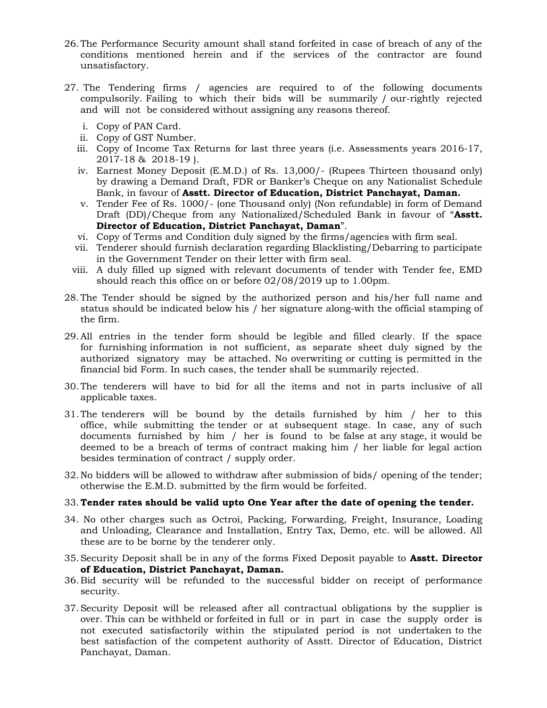- 26.The Performance Security amount shall stand forfeited in case of breach of any of the conditions mentioned herein and if the services of the contractor are found unsatisfactory.
- 27. The Tendering firms / agencies are required to of the following documents compulsorily. Failing to which their bids will be summarily / our-rightly rejected and will not be considered without assigning any reasons thereof.
	- i. Copy of PAN Card.
	- ii. Copy of GST Number.
	- iii. Copy of Income Tax Returns for last three years (i.e. Assessments years 2016-17, 2017-18 & 2018-19 ).
	- iv. Earnest Money Deposit (E.M.D.) of Rs. 13,000/- (Rupees Thirteen thousand only) by drawing a Demand Draft, FDR or Banker's Cheque on any Nationalist Schedule Bank, in favour of **Asstt. Director of Education, District Panchayat, Daman.**
	- v. Tender Fee of Rs. 1000/- (one Thousand only) (Non refundable) in form of Demand Draft (DD)/Cheque from any Nationalized/Scheduled Bank in favour of "**Asstt. Director of Education, District Panchayat, Daman**".
	- vi. Copy of Terms and Condition duly signed by the firms/agencies with firm seal.
	- vii. Tenderer should furnish declaration regarding Blacklisting/Debarring to participate in the Government Tender on their letter with firm seal.
	- viii. A duly filled up signed with relevant documents of tender with Tender fee, EMD should reach this office on or before 02/08/2019 up to 1.00pm.
- 28.The Tender should be signed by the authorized person and his/her full name and status should be indicated below his / her signature along-with the official stamping of the firm.
- 29.All entries in the tender form should be legible and filled clearly. If the space for furnishing information is not sufficient, as separate sheet duly signed by the authorized signatory may be attached. No overwriting or cutting is permitted in the financial bid Form. In such cases, the tender shall be summarily rejected.
- 30.The tenderers will have to bid for all the items and not in parts inclusive of all applicable taxes.
- 31.The tenderers will be bound by the details furnished by him / her to this office, while submitting the tender or at subsequent stage. In case, any of such documents furnished by him / her is found to be false at any stage, it would be deemed to be a breach of terms of contract making him / her liable for legal action besides termination of contract / supply order.
- 32.No bidders will be allowed to withdraw after submission of bids/ opening of the tender; otherwise the E.M.D. submitted by the firm would be forfeited.

#### 33.**Tender rates should be valid upto One Year after the date of opening the tender.**

- 34. No other charges such as Octroi, Packing, Forwarding, Freight, Insurance, Loading and Unloading, Clearance and Installation, Entry Tax, Demo, etc. will be allowed. All these are to be borne by the tenderer only.
- 35.Security Deposit shall be in any of the forms Fixed Deposit payable to **Asstt. Director of Education, District Panchayat, Daman.**
- 36.Bid security will be refunded to the successful bidder on receipt of performance security.
- 37.Security Deposit will be released after all contractual obligations by the supplier is over. This can be withheld or forfeited in full or in part in case the supply order is not executed satisfactorily within the stipulated period is not undertaken to the best satisfaction of the competent authority of Asstt. Director of Education, District Panchayat, Daman.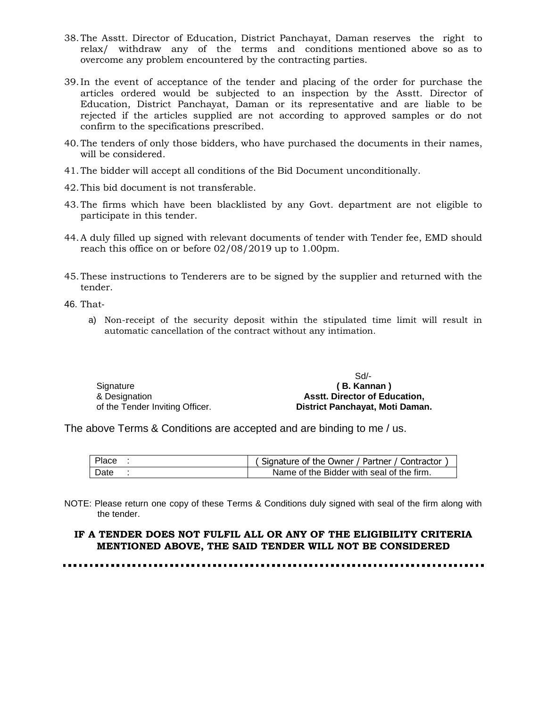- 38.The Asstt. Director of Education, District Panchayat, Daman reserves the right to relax/ withdraw any of the terms and conditions mentioned above so as to overcome any problem encountered by the contracting parties.
- 39.In the event of acceptance of the tender and placing of the order for purchase the articles ordered would be subjected to an inspection by the Asstt. Director of Education, District Panchayat, Daman or its representative and are liable to be rejected if the articles supplied are not according to approved samples or do not confirm to the specifications prescribed.
- 40.The tenders of only those bidders, who have purchased the documents in their names, will be considered.
- 41.The bidder will accept all conditions of the Bid Document unconditionally.
- 42.This bid document is not transferable.
- 43.The firms which have been blacklisted by any Govt. department are not eligible to participate in this tender.
- 44.A duly filled up signed with relevant documents of tender with Tender fee, EMD should reach this office on or before 02/08/2019 up to 1.00pm.
- 45.These instructions to Tenderers are to be signed by the supplier and returned with the tender.

46. That-

a) Non-receipt of the security deposit within the stipulated time limit will result in automatic cancellation of the contract without any intimation.

| Signature                       |
|---------------------------------|
| & Designation                   |
| of the Tender Inviting Officer. |

 Sd/- **( B. Kannan ) Asstt. Director of Education, District Panchayat, Moti Daman.**

The above Terms & Conditions are accepted and are binding to me / us.

| Place | (Signature of the Owner / Partner / Contractor |
|-------|------------------------------------------------|
| Date  | Name of the Bidder with seal of the firm.      |

NOTE: Please return one copy of these Terms & Conditions duly signed with seal of the firm along with the tender.

#### **IF A TENDER DOES NOT FULFIL ALL OR ANY OF THE ELIGIBILITY CRITERIA MENTIONED ABOVE, THE SAID TENDER WILL NOT BE CONSIDERED**